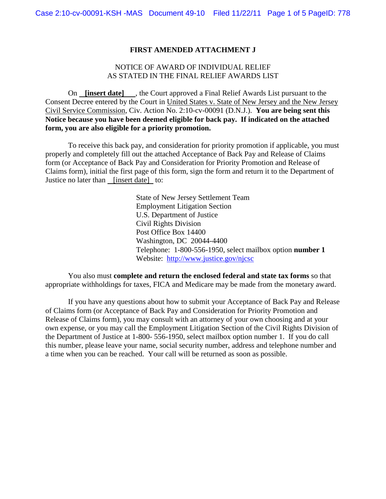### **FIRST AMENDED ATTACHMENT J**

## NOTICE OF AWARD OF INDIVIDUAL RELIEF AS STATED IN THE FINAL RELIEF AWARDS LIST

On **[insert date]** , the Court approved a Final Relief Awards List pursuant to the Consent Decree entered by the Court in United States v. State of New Jersey and the New Jersey Civil Service Commission, Civ. Action No. 2:10-cv-00091 (D.N.J.). **You are being sent this Notice because you have been deemed eligible for back pay. If indicated on the attached form, you are also eligible for a priority promotion.** 

To receive this back pay, and consideration for priority promotion if applicable, you must properly and completely fill out the attached Acceptance of Back Pay and Release of Claims form (or Acceptance of Back Pay and Consideration for Priority Promotion and Release of Claims form), initial the first page of this form, sign the form and return it to the Department of Justice no later than [insert date] to:

> State of New Jersey Settlement Team Employment Litigation Section U.S. Department of Justice Civil Rights Division Post Office Box 14400 Washington, DC 20044-4400 Telephone: 1-800-556-1950, select mailbox option **number 1** Website: <http://www.justice.gov/njcsc>

You also must **complete and return the enclosed federal and state tax forms** so that appropriate withholdings for taxes, FICA and Medicare may be made from the monetary award.

If you have any questions about how to submit your Acceptance of Back Pay and Release of Claims form (or Acceptance of Back Pay and Consideration for Priority Promotion and Release of Claims form), you may consult with an attorney of your own choosing and at your own expense, or you may call the Employment Litigation Section of the Civil Rights Division of the Department of Justice at 1-800- 556-1950, select mailbox option number 1. If you do call this number, please leave your name, social security number, address and telephone number and a time when you can be reached. Your call will be returned as soon as possible.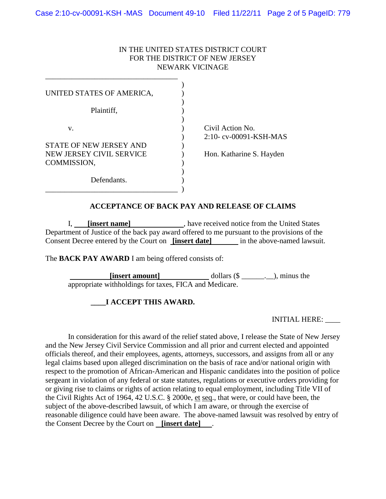### IN THE UNITED STATES DISTRICT COURT FOR THE DISTRICT OF NEW JERSEY NEWARK VICINAGE

| UNITED STATES OF AMERICA,               |                                           |
|-----------------------------------------|-------------------------------------------|
| Plaintiff,                              |                                           |
| V.                                      | Civil Action No.<br>2:10-cv-00091-KSH-MAS |
| <b>STATE OF NEW JERSEY AND</b>          |                                           |
| NEW JERSEY CIVIL SERVICE<br>COMMISSION, | Hon. Katharine S. Hayden                  |
| Defendants.                             |                                           |

## **ACCEPTANCE OF BACK PAY AND RELEASE OF CLAIMS**

I, **[insert name]** , have received notice from the United States Department of Justice of the back pay award offered to me pursuant to the provisions of the Consent Decree entered by the Court on **[insert date]** in the above-named lawsuit.

The **BACK PAY AWARD** I am being offered consists of:

**[insert amount]** dollars (\$ \_\_\_\_\_\_\_\_), minus the appropriate withholdings for taxes, FICA and Medicare.

# **\_\_\_\_I ACCEPT THIS AWARD.**

INITIAL HERE: \_\_\_\_

In consideration for this award of the relief stated above, I release the State of New Jersey and the New Jersey Civil Service Commission and all prior and current elected and appointed officials thereof, and their employees, agents, attorneys, successors, and assigns from all or any legal claims based upon alleged discrimination on the basis of race and/or national origin with respect to the promotion of African-American and Hispanic candidates into the position of police sergeant in violation of any federal or state statutes, regulations or executive orders providing for or giving rise to claims or rights of action relating to equal employment, including Title VII of the Civil Rights Act of 1964, 42 U.S.C. § 2000e, et seq., that were, or could have been, the subject of the above-described lawsuit, of which I am aware, or through the exercise of reasonable diligence could have been aware. The above-named lawsuit was resolved by entry of the Consent Decree by the Court on **[insert date]** .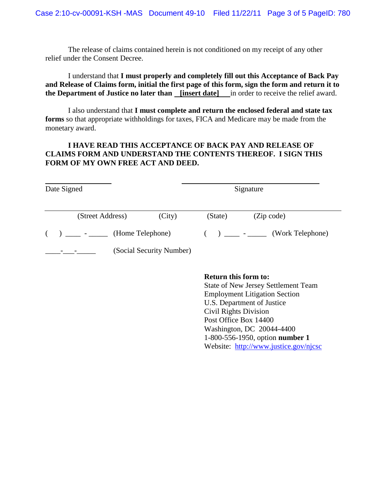The release of claims contained herein is not conditioned on my receipt of any other relief under the Consent Decree.

I understand that **I must properly and completely fill out this Acceptance of Back Pay and Release of Claims form, initial the first page of this form, sign the form and return it to the Department of Justice no later than [insert date]** in order to receive the relief award.

I also understand that **I must complete and return the enclosed federal and state tax forms** so that appropriate withholdings for taxes, FICA and Medicare may be made from the monetary award.

# **I HAVE READ THIS ACCEPTANCE OF BACK PAY AND RELEASE OF CLAIMS FORM AND UNDERSTAND THE CONTENTS THEREOF. I SIGN THIS FORM OF MY OWN FREE ACT AND DEED.**

| Date Signed |                      | Signature                |                 |                  |
|-------------|----------------------|--------------------------|-----------------|------------------|
|             | (Street Address)     | (City)                   | (State)         | (Zip code)       |
|             | $( )$ $)$ $)$ $   -$ | (Home Telephone)         | $( )$ $)$ $  -$ | (Work Telephone) |
|             |                      | (Social Security Number) |                 |                  |

#### **Return this form to:**

State of New Jersey Settlement Team Employment Litigation Section U.S. Department of Justice Civil Rights Division Post Office Box 14400 Washington, DC 20044-4400 1-800-556-1950, option **number 1** Website: <http://www.justice.gov/njcsc>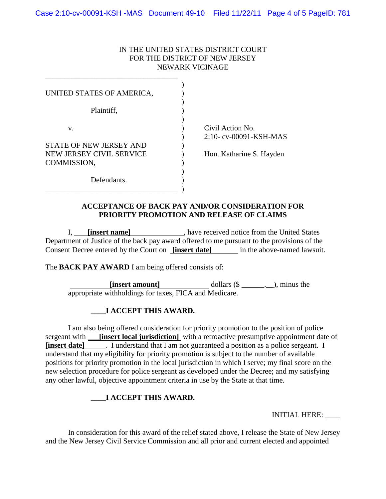### IN THE UNITED STATES DISTRICT COURT FOR THE DISTRICT OF NEW JERSEY NEWARK VICINAGE

| UNITED STATES OF AMERICA,               |                          |
|-----------------------------------------|--------------------------|
| Plaintiff,                              |                          |
| V.                                      | Civil Action No.         |
| <b>STATE OF NEW JERSEY AND</b>          | 2:10-cv-00091-KSH-MAS    |
| NEW JERSEY CIVIL SERVICE<br>COMMISSION, | Hon. Katharine S. Hayden |
| Defendants.                             |                          |

### **ACCEPTANCE OF BACK PAY AND/OR CONSIDERATION FOR PRIORITY PROMOTION AND RELEASE OF CLAIMS**

I, **[insert name]** , have received notice from the United States Department of Justice of the back pay award offered to me pursuant to the provisions of the Consent Decree entered by the Court on **[insert date]** in the above-named lawsuit.

The **BACK PAY AWARD** I am being offered consists of:

**[insert amount]** dollars (\$ \_\_\_\_\_\_\_\_\_\_\_), minus the appropriate withholdings for taxes, FICA and Medicare.

# **\_\_\_\_I ACCEPT THIS AWARD.**

I am also being offered consideration for priority promotion to the position of police sergeant with **\_\_\_[insert local jurisdiction**] with a retroactive presumptive appointment date of **[insert date]** . I understand that I am not guaranteed a position as a police sergeant. I understand that my eligibility for priority promotion is subject to the number of available positions for priority promotion in the local jurisdiction in which I serve; my final score on the new selection procedure for police sergeant as developed under the Decree; and my satisfying any other lawful, objective appointment criteria in use by the State at that time.

# **\_\_\_\_I ACCEPT THIS AWARD.**

INITIAL HERE: \_\_\_\_

In consideration for this award of the relief stated above, I release the State of New Jersey and the New Jersey Civil Service Commission and all prior and current elected and appointed